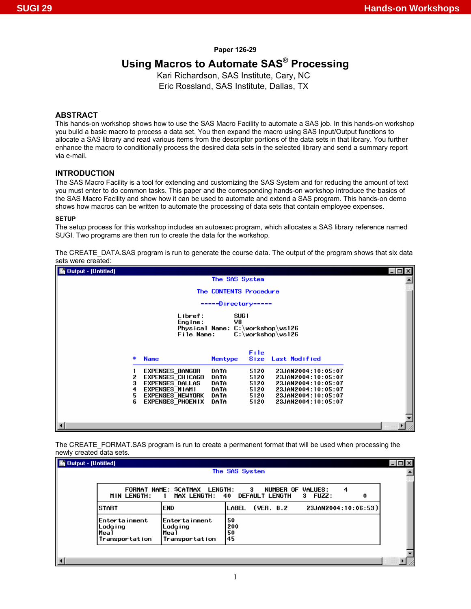#### **Paper 126-29**

# **Using Macros to Automate SAS® Processing**

Kari Richardson, SAS Institute, Cary, NC Eric Rossland, SAS Institute, Dallas, TX

### **ABSTRACT**

This hands-on workshop shows how to use the SAS Macro Facility to automate a SAS job. In this hands-on workshop you build a basic macro to process a data set. You then expand the macro using SAS Input/Output functions to allocate a SAS library and read various items from the descriptor portions of the data sets in that library. You further enhance the macro to conditionally process the desired data sets in the selected library and send a summary report via e-mail.

# **INTRODUCTION**

The SAS Macro Facility is a tool for extending and customizing the SAS System and for reducing the amount of text you must enter to do common tasks. This paper and the corresponding hands-on workshop introduce the basics of the SAS Macro Facility and show how it can be used to automate and extend a SAS program. This hands-on demo shows how macros can be written to automate the processing of data sets that contain employee expenses.

#### **SETUP**

The setup process for this workshop includes an autoexec program, which allocates a SAS library reference named SUGI. Two programs are then run to create the data for the workshop.

The CREATE\_DATA.SAS program is run to generate the course data. The output of the program shows that six data sets were created:

| 图 Output - (Untitled) |                                          |                        |                                                          | $\frac{1}{2}$ |
|-----------------------|------------------------------------------|------------------------|----------------------------------------------------------|---------------|
|                       |                                          | The SAS System         |                                                          |               |
|                       |                                          | The CONTENTS Procedure |                                                          |               |
|                       |                                          | -----Directory-----    |                                                          |               |
|                       |                                          |                        |                                                          |               |
|                       | Libref:<br>Engine:                       | SUG <sub>1</sub><br>V8 |                                                          |               |
|                       |                                          |                        | Physical Name: C:\workshop\ws126                         |               |
|                       | File Name:                               |                        | $C:\w{orkshop\ws126}$                                    |               |
|                       |                                          |                        |                                                          |               |
| #                     | <b>Name</b>                              | Memtype                | File<br>Size<br>Last Modified                            |               |
|                       | EXPENSES BANGOR                          | DATA                   | 5120<br>23JAN2004:10:05:07                               |               |
| 2                     | EXPENSES_CHICAGO                         | DATA                   | 5120<br>23JAN2004:10:05:07                               |               |
| 3<br>4                | EXPENSES DALLAS<br><b>EXPENSES MIAMI</b> | DATA<br>DATA           | 5120<br>23JAN2004:10:05:07<br>5120<br>23JAN2004:10:05:07 |               |
| 5                     | <b>EXPENSES NEWYORK</b>                  | DATA                   | 5120<br>23JAN2004:10:05:07                               |               |
| 6                     | <b>EXPENSES PHOEN IX</b>                 | DATA                   | 5120<br>23JAN2004:10:05:07                               |               |
|                       |                                          |                        |                                                          |               |
|                       |                                          |                        |                                                          |               |
|                       |                                          |                        |                                                          |               |

The CREATE\_FORMAT.SAS program is run to create a permanent format that will be used when processing the newly created data sets.

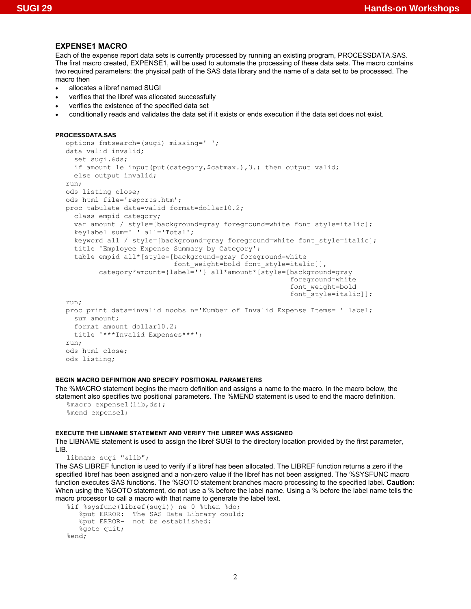#### **EXPENSE1 MACRO**

Each of the expense report data sets is currently processed by running an existing program, PROCESSDATA.SAS. The first macro created, EXPENSE1, will be used to automate the processing of these data sets. The macro contains two required parameters: the physical path of the SAS data library and the name of a data set to be processed. The macro then

- allocates a libref named SUGI
- verifies that the libref was allocated successfully
- verifies the existence of the specified data set
- conditionally reads and validates the data set if it exists or ends execution if the data set does not exist.

```
PROCESSDATA.SAS
```

```
options fmtsearch=(sugi) missing=' '; 
data valid invalid; 
   set sugi.&ds; 
  if amount le input (put (category, $catmax.), 3.) then output valid;
   else output invalid; 
run; 
ods listing close; 
ods html file='reports.htm'; 
proc tabulate data=valid format=dollar10.2; 
   class empid category; 
  var amount / style=[background=gray foreground=white font style=italic];
   keylabel sum=' ' all='Total'; 
   keyword all / style=[background=gray foreground=white font_style=italic]; 
   title 'Employee Expense Summary by Category'; 
   table empid all*[style=[background=gray foreground=white 
                            font weight=bold font style=italic]],
         category*amount={label=''} all*amount*[style=[background=gray 
                                                           foreground=white 
                                                           font_weight=bold 
                                                           font_style=italic]]; 
run; 
proc print data=invalid noobs n='Number of Invalid Expense Items= ' label; 
   sum amount; 
   format amount dollar10.2; 
   title '***Invalid Expenses***'; 
run; 
ods html close; 
ods listing;
```
### **BEGIN MACRO DEFINITION AND SPECIFY POSITIONAL PARAMETERS**

The %MACRO statement begins the macro definition and assigns a name to the macro. In the macro below, the statement also specifies two positional parameters. The %MEND statement is used to end the macro definition.

```
%macro expense1(lib,ds); 
%mend expense1;
```
#### **EXECUTE THE LIBNAME STATEMENT AND VERIFY THE LIBREF WAS ASSIGNED**

The LIBNAME statement is used to assign the libref SUGI to the directory location provided by the first parameter, LIB.

libname sugi "&lib";

The SAS LIBREF function is used to verify if a libref has been allocated. The LIBREF function returns a zero if the specified libref has been assigned and a non-zero value if the libref has not been assigned. The %SYSFUNC macro function executes SAS functions. The %GOTO statement branches macro processing to the specified label. **Caution:** When using the %GOTO statement, do not use a % before the label name. Using a % before the label name tells the macro processor to call a macro with that name to generate the label text.

```
%if %sysfunc(libref(sugi)) ne 0 %then %do; 
    %put ERROR: The SAS Data Library could; 
    %put ERROR- not be established; 
   %goto quit;
%end;
```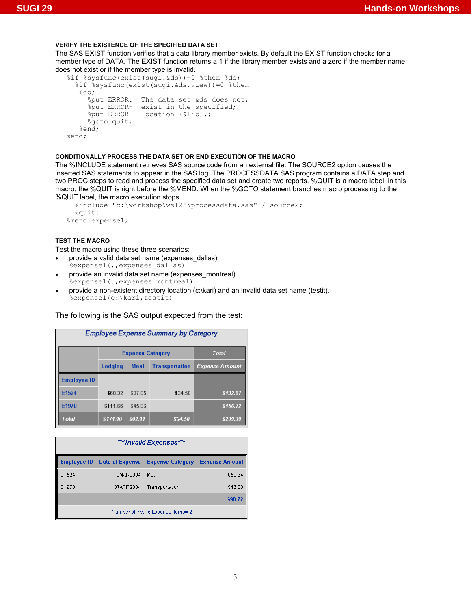# **VERIFY THE EXISTENCE OF THE SPECIFIED DATA SET**

The SAS EXIST function verifies that a data library member exists. By default the EXIST function checks for a member type of DATA. The EXIST function returns a 1 if the library member exists and a zero if the member name does not exist or if the member type is invalid.

```
%if %sysfunc(exist(sugi.&ds))=0 %then %do; 
   %if %sysfunc(exist(sugi.&ds,view))=0 %then 
    %do; 
      %put ERROR: The data set &ds does not; 
 %put ERROR- exist in the specified; 
 %put ERROR- location (&lib).; 
    %goto quit;
   %end; 
%end;
```
# **CONDITIONALLY PROCESS THE DATA SET OR END EXECUTION OF THE MACRO**

The %INCLUDE statement retrieves SAS source code from an external file. The SOURCE2 option causes the inserted SAS statements to appear in the SAS log. The PROCESSDATA.SAS program contains a DATA step and two PROC steps to read and process the specified data set and create two reports. %QUIT is a macro label; in this macro, the %QUIT is right before the %MEND. When the %GOTO statement branches macro processing to the %QUIT label, the macro execution stops.

```
 %include "c:\workshop\ws126\processdata.sas" / source2; 
   %quit: 
%mend expense1;
```
# **TEST THE MACRO**

Test the macro using these three scenarios:

- provide a valid data set name (expenses dallas) %expense1(., expenses dallas)
- provide an invalid data set name (expenses\_montreal) %expense1(., expenses montreal)
- provide a non-existent directory location (c:\kari) and an invalid data set name (testit). %expense1(c:\kari,testit)

# The following is the SAS output expected from the test:

| <b>Employee Expense Summary by Category</b> |          |                                  |                       |                       |  |  |
|---------------------------------------------|----------|----------------------------------|-----------------------|-----------------------|--|--|
|                                             |          | Total<br><b>Expense Category</b> |                       |                       |  |  |
|                                             | Lodging  | <b>Meal</b>                      | <b>Transportation</b> | <b>Expense Amount</b> |  |  |
| <b>Employee ID</b>                          |          |                                  |                       |                       |  |  |
| E1524                                       | \$60.32  | \$37.85                          | \$34.50               | \$132.67              |  |  |
| E1970                                       | \$111.66 | \$45.06                          |                       | \$156.72              |  |  |
| Total                                       | \$171.98 | \$82.91                          | \$34.50               | \$289.39              |  |  |

| ***Invalid Expenses*** |                                    |                         |                       |  |  |
|------------------------|------------------------------------|-------------------------|-----------------------|--|--|
| <b>Employee ID</b>     | <b>Date of Expense</b>             | <b>Expense Category</b> | <b>Expense Amount</b> |  |  |
| E1524                  | 10MAR2004                          | Meal                    | \$52.64               |  |  |
| E1970                  | 07APR2004                          | Transportation          | \$46.08               |  |  |
|                        |                                    |                         | \$98.72               |  |  |
|                        | Number of Invalid Expense Items= 2 |                         |                       |  |  |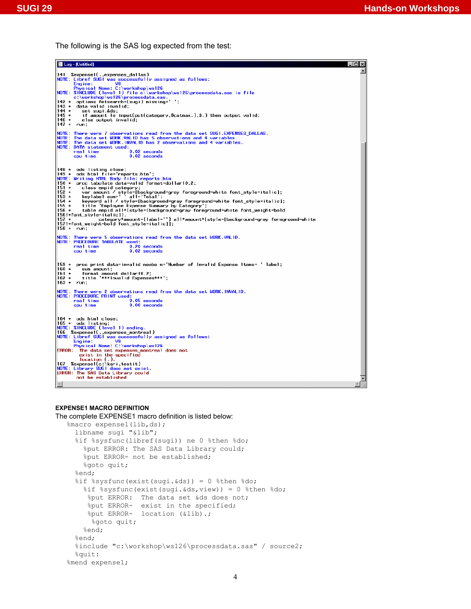The following is the SAS log expected from the test:

| ■ Log - (Untitled)                                                                                                                           | . I⊡I × |
|----------------------------------------------------------------------------------------------------------------------------------------------|---------|
|                                                                                                                                              |         |
| NOTE: Libref SUGI was successfully assigned as follows:                                                                                      |         |
| Engine:<br>V8                                                                                                                                |         |
| Physical Name: C:\workshop\ws126<br> NOTE: %INCLUDE (level 1) file c:\workshop\ws126\processdata.sas is file                                 |         |
| c:\workshop\ws126\processdata.sas.                                                                                                           |         |
| options fmtsearch=(sugi) missing=' ';<br>142 +<br>$143 +$<br>data valid invalid;                                                             |         |
| $144 +$<br>set sugi.&ds                                                                                                                      |         |
| if amount le input(put(category,\$catmax.),3.) then output valid;<br>145 +<br>$146 +$<br>else output invalid;                                |         |
| 147 +<br>run;                                                                                                                                |         |
| NOTE: There were 7 observations read from the data set SUGI.EXPENSES DALLAS.                                                                 |         |
| NOTE: The data set WORK.VALID has 5 observations and 4 variables.<br>NOTE: The data set WORK.INVALID has 2 observations and 4 variables.     |         |
| NOTE: DATA statement used:                                                                                                                   |         |
| $0.02$ seconds<br>real time<br>$0.02$ seconds<br>cpu time                                                                                    |         |
|                                                                                                                                              |         |
| ∥148 +<br>ods listing close;                                                                                                                 |         |
| $149 +$<br>ods html file='reports.htm';                                                                                                      |         |
| NOTE: Writing HTML Body file: reports.htm<br>proc tabulate data=valid format=dollar10.2;<br>150 +                                            |         |
| 151 +<br>class empid category;                                                                                                               |         |
| var amount / style=[background=gray foreground=white font_style=italic];<br>keylabel sum=' ' all='Total';<br>$152 +$<br>153 +                |         |
| $154 +$<br>keyword all / style=[background=gray foreground=white font_style=italic];                                                         |         |
| 155 +<br>title 'Employee Expense Summary by Category';<br>156 +<br>table empid all*[style=[background=gray foreground=white font_weight=bold |         |
| 156!+font_style=italic]],<br>category*amount={label=''} all*amount*[style=[background=gray foreground=white                                  |         |
| 157 +<br> 157!+font_weight=bold_font_style=italic]];                                                                                         |         |
| 158 + run;                                                                                                                                   |         |
| NOTE: There were 5 observations read from the data set WORK. VALID.                                                                          |         |
| NOTE: PROCEDURE TABULATE used:<br>real time<br>$0.20$ seconds                                                                                |         |
| $0.02$ seconds<br>cpu time                                                                                                                   |         |
|                                                                                                                                              |         |
| proc print data=invalid noobs n='Number of Invalid Expense Items= 'label;<br>159 +                                                           |         |
| 160 +<br>sum amount:<br>161 +<br>format amount dollar10.2;                                                                                   |         |
| title '***Invalid Expenses***';<br>$162 +$                                                                                                   |         |
| 163 +<br>run:                                                                                                                                |         |
| NOTE: There were 2 observations read from the data set WORK.INVALID.<br>NOTE: PROCEDURE PRINT used:                                          |         |
| $0.05$ seconds<br>real time                                                                                                                  |         |
| cou time<br>$0.00$ seconds                                                                                                                   |         |
|                                                                                                                                              |         |
| 164 + ods html close;<br>165 + ods listing;                                                                                                  |         |
| NOTE: %INCLUDE (level 1) ending.                                                                                                             |         |
| NOTE: Libref SUGI was successfully assigned as follows:                                                                                      |         |
| Engine:<br>V8                                                                                                                                |         |
| Physical Name: $C:\w{orkshop\ws126}$<br><b>ERROR:</b> The data set expenses montreal does not                                                |         |
| exist in the specified                                                                                                                       |         |
| $location(.)$ .                                                                                                                              |         |
| NOTE: Library SUGI does not exist.<br><b>ERROR: The SAS Data Library could</b>                                                               |         |
| not be established                                                                                                                           |         |
| $\vert$<br>$\vert$                                                                                                                           |         |

### **EXPENSE1 MACRO DEFINITION**

The complete EXPENSE1 macro definition is listed below:

```
%macro expense1(lib,ds); 
  libname sugi "&lib"; 
   %if %sysfunc(libref(sugi)) ne 0 %then %do; 
    %put ERROR: The SAS Data Library could; 
     %put ERROR- not be established; 
    %goto quit;
   %end; 
   %if %sysfunc(exist(sugi.&ds)) = 0 %then %do; 
     %if %sysfunc(exist(sugi.&ds,view)) = 0 %then %do; 
      %put ERROR: The data set &ds does not; 
     %put ERROR- exist in the specified; 
      %put ERROR- location (&lib).; 
     %goto quit;
     %end; 
   %end; 
   %include "c:\workshop\ws126\processdata.sas" / source2; 
   %quit: 
%mend expense1;
```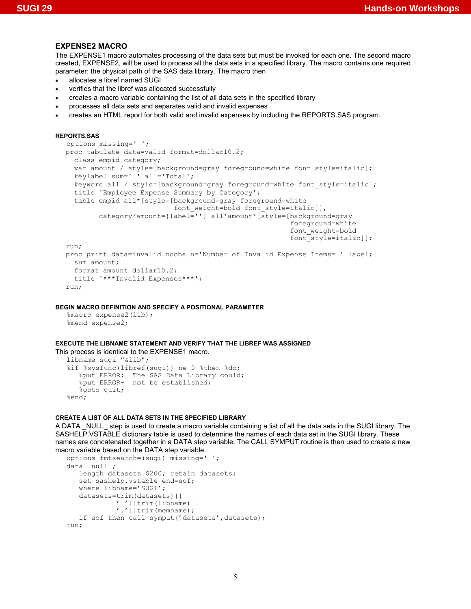#### **EXPENSE2 MACRO**

The EXPENSE1 macro automates processing of the data sets but must be invoked for each one. The second macro created, EXPENSE2, will be used to process all the data sets in a specified library. The macro contains one required parameter: the physical path of the SAS data library. The macro then

- allocates a libref named SUGI
- verifies that the libref was allocated successfully
- creates a macro variable containing the list of all data sets in the specified library
- processes all data sets and separates valid and invalid expenses
- creates an HTML report for both valid and invalid expenses by including the REPORTS.SAS program.

### **REPORTS.SAS**

```
options missing=' '; 
proc tabulate data=valid format=dollar10.2; 
   class empid category; 
  var amount / style=[background=gray foreground=white font style=italic];
   keylabel sum=' ' all='Total'; 
   keyword all / style=[background=gray foreground=white font_style=italic]; 
   title 'Employee Expense Summary by Category'; 
   table empid all*[style=[background=gray foreground=white 
                           font weight=bold font style=italic]],
         category*amount={label=''} all*amount*[style=[background=gray 
                                                          foreground=white 
                                                          font_weight=bold 
                                                          font_style=italic]]; 
run; 
proc print data=invalid noobs n='Number of Invalid Expense Items= ' label; 
  sum amount; 
  format amount dollar10.2; 
  title '***Invalid Expenses***'; 
run;
```
#### **BEGIN MACRO DEFINITION AND SPECIFY A POSITIONAL PARAMETER**

```
%macro expense2(lib); 
%mend expense2;
```
#### **EXECUTE THE LIBNAME STATEMENT AND VERIFY THAT THE LIBREF WAS ASSIGNED**

```
This process is identical to the EXPENSE1 macro. 
  libname sugi "&lib"; 
   %if %sysfunc(libref(sugi)) ne 0 %then %do; 
       %put ERROR: The SAS Data Library could; 
       %put ERROR- not be established; 
      %goto quit;
   %end;
```
#### **CREATE A LIST OF ALL DATA SETS IN THE SPECIFIED LIBRARY**

A DATA NULL step is used to create a macro variable containing a list of all the data sets in the SUGI library. The SASHELP.VSTABLE dictionary table is used to determine the names of each data set in the SUGI library. These names are concatenated together in a DATA step variable. The CALL SYMPUT routine is then used to create a new macro variable based on the DATA step variable.

```
options fmtsearch=(sugi) missing=' '; 
data null;
   length datasets $200; retain datasets;
    set sashelp.vstable end=eof; 
   where libname='SUGI';
    datasets=trim(datasets)|| 
              ' '||trim(libname)|| 
             '.'||trim(memname); 
   if eof then call symput ('datasets', datasets);
run;
```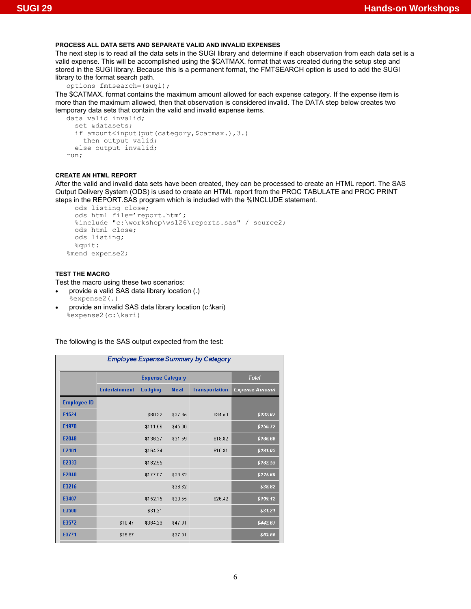### **PROCESS ALL DATA SETS AND SEPARATE VALID AND INVALID EXPENSES**

The next step is to read all the data sets in the SUGI library and determine if each observation from each data set is a valid expense. This will be accomplished using the \$CATMAX. format that was created during the setup step and stored in the SUGI library. Because this is a permanent format, the FMTSEARCH option is used to add the SUGI library to the format search path.

```
options fmtsearch=(sugi);
```
The \$CATMAX. format contains the maximum amount allowed for each expense category. If the expense item is more than the maximum allowed, then that observation is considered invalid. The DATA step below creates two temporary data sets that contain the valid and invalid expense items.

```
data valid invalid; 
   set &datasets; 
  if amount<input(put(category, $catmax.), 3.)
     then output valid; 
   else output invalid; 
run;
```
### **CREATE AN HTML REPORT**

After the valid and invalid data sets have been created, they can be processed to create an HTML report. The SAS Output Delivery System (ODS) is used to create an HTML report from the PROC TABULATE and PROC PRINT steps in the REPORT.SAS program which is included with the %INCLUDE statement.

```
 ods listing close; 
   ods html file='report.htm'; 
   %include "c:\workshop\ws126\reports.sas" / source2; 
   ods html close; 
   ods listing; 
   %quit: 
%mend expense2;
```
#### **TEST THE MACRO**

Test the macro using these two scenarios:

- provide a valid SAS data library location (.) %expense2(.)
- provide an invalid SAS data library location (c:\kari) %expense2(c:\kari)

The following is the SAS output expected from the test:

| <b>Employee Expense Summary by Category</b> |                      |                         |             |                       |                       |
|---------------------------------------------|----------------------|-------------------------|-------------|-----------------------|-----------------------|
|                                             |                      | <b>Expense Category</b> |             |                       | Total                 |
|                                             | <b>Entertainment</b> | Lodging                 | <b>Meal</b> | <b>Transportation</b> | <b>Expense Amount</b> |
| <b>Employee ID</b>                          |                      |                         |             |                       |                       |
| E1524                                       |                      | \$60.32                 | \$37.85     | \$34.50               | \$132.67              |
| E1970                                       |                      | \$111.66                | \$45.06     |                       | \$156.72              |
| E2048                                       |                      | \$136.27                | \$31.59     | \$18.82               | \$186.68              |
| E2181                                       |                      | \$164.24                |             | \$16.81               | \$181.05              |
| E2333                                       |                      | \$182.55                |             |                       | \$182.55              |
| E2940                                       |                      | \$177.07                | \$38.62     |                       | \$215.69              |
| E3216                                       |                      |                         | \$38.82     |                       | \$38.82               |
| E3407                                       |                      | \$152.15                | \$20.55     | \$26.42               | \$199.12              |
| E3500                                       |                      | \$31.21                 |             |                       | \$31.21               |
| E3572                                       | \$10.47              | \$384.29                | \$47.91     |                       | \$442.67              |
| E3771                                       | \$25.97              |                         | \$37.91     |                       | \$63.88               |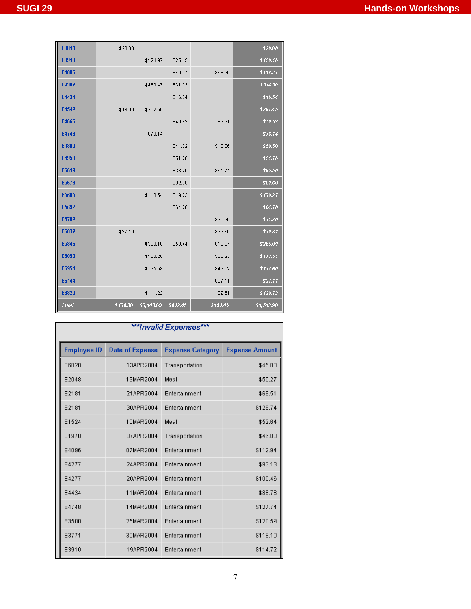| E3811        | \$20.80  |            |          |          | \$20.80    |
|--------------|----------|------------|----------|----------|------------|
| E3910        |          | \$124.97   | \$25.19  |          | \$150.16   |
| E4096        |          |            | \$49.97  | \$68.30  | \$118.27   |
| E4362        |          | \$483.47   | \$31.03  |          | \$514.50   |
| E4434        |          |            | \$16.54  |          | \$16.54    |
| E4542        | \$44.90  | \$252.55   |          |          | \$297.45   |
| E4666        |          |            | \$40.62  | \$9.91   | \$50.53    |
| E4748        |          | \$76.14    |          |          | \$76.14    |
| E4880        |          |            | \$44.72  | \$13.86  | \$58.58    |
| E4953        |          |            | \$51.76  |          | \$51.76    |
| E5619        |          |            | \$33.76  | \$61.74  | \$95.50    |
| E5678        |          |            | \$82.68  |          | \$82.68    |
| E5685        |          | \$118.54   | \$19.73  |          | \$138.27   |
| E5692        |          |            | \$64.70  |          | \$64.70    |
| E5792        |          |            |          | \$31.30  | \$31.30    |
| E5832        | \$37.16  |            |          | \$33.66  | \$70.82    |
| E5846        |          | \$300.18   | \$53.44  | \$12.27  | \$365.89   |
| E5850        |          | \$138.28   |          | \$35.23  | \$173.51   |
| E5951        |          | \$135.58   |          | \$42.02  | \$177.60   |
| E6144        |          |            |          | \$37.11  | \$37.11    |
| E6820        |          | \$111.22   |          | \$9.51   | \$120.73   |
| <b>Total</b> | \$139.30 | \$3,140.69 | \$812.45 | \$451.46 | \$4,543.90 |

| ***Invalid Expenses*** |                        |                         |                       |  |
|------------------------|------------------------|-------------------------|-----------------------|--|
| <b>Employee ID</b>     | <b>Date of Expense</b> | <b>Expense Category</b> | <b>Expense Amount</b> |  |
| E6820                  | 13APR2004              | Transportation          | \$45.80               |  |
| E2048                  | 19MAR2004              | Meal                    | \$50.27               |  |
| E2181                  | 21APR2004              | Entertainment           | \$68.51               |  |
| E2181                  | 30APR2004              | Entertainment           | \$128.74              |  |
| E1524                  | 10MAR2004              | Meal                    | \$52.64               |  |
| E1970                  | 07APR2004              | Transportation          | \$46.08               |  |
| E4096                  | 07MAR2004              | Entertainment           | \$112.94              |  |
| E4277                  | 24APR2004              | Entertainment           | \$93.13               |  |
| E4277                  | 20APR2004              | Entertainment           | \$100.46              |  |
| E4434                  | 11MAR2004              | Entertainment           | \$88.78               |  |
| E4748                  | 14MAR2004              | Entertainment           | \$127.74              |  |
| E3500                  | 25MAR2004              | Entertainment           | \$120.59              |  |
| E3771                  | 30MAR2004              | Entertainment           | \$118.10              |  |
| E3910                  | 19APR2004              | Entertainment           | \$114.72              |  |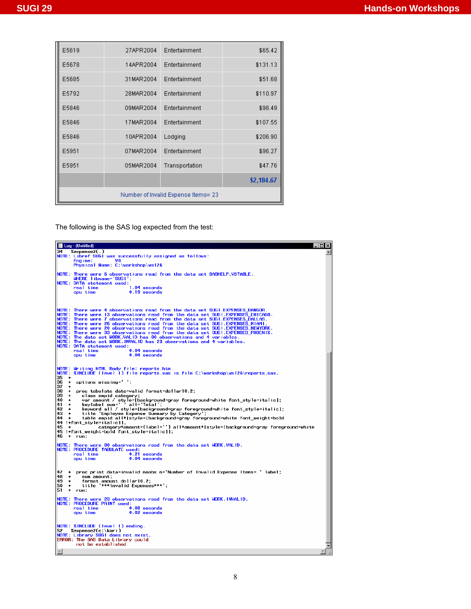| E5619                               | 27APR2004 | Entertainment  | \$65.42    |
|-------------------------------------|-----------|----------------|------------|
| E5678                               | 14APR2004 | Entertainment  | \$131.13   |
| E5685                               | 31MAR2004 | Entertainment  | \$51.68    |
| E5792                               | 28MAR2004 | Entertainment  | \$110.97   |
| E5846                               | 09MAR2004 | Entertainment  | \$98.49    |
| E5846                               | 17MAR2004 | Entertainment  | \$107.55   |
| E5846                               | 10APR2004 | Lodging        | \$206.90   |
| E5951                               | 07MAR2004 | Entertainment  | \$96.27    |
| E5951                               | 05MAR2004 | Transportation | \$47.76    |
|                                     |           |                | \$2,184.67 |
| Number of Invalid Expense Items= 23 |           |                |            |

The following is the SAS log expected from the test:

| ■ Log - (Untitled)                                                                                                                                      | $\Box$ |
|---------------------------------------------------------------------------------------------------------------------------------------------------------|--------|
| 34<br>Zexpense2(,)                                                                                                                                      |        |
| NOTE: Libref SUGI was successfully assigned as follows:                                                                                                 |        |
| V8<br>Engine:                                                                                                                                           |        |
| Physical Name: C:\workshop\ws126                                                                                                                        |        |
| NOTE: There were 6 observations read from the data set SASHELP.VSTABLE.                                                                                 |        |
| WHERE libname='SUGI';                                                                                                                                   |        |
| NOTE: DATA statement used:                                                                                                                              |        |
| real time<br>1.04 seconds                                                                                                                               |        |
| $0.19$ seconds<br>cpu time                                                                                                                              |        |
|                                                                                                                                                         |        |
|                                                                                                                                                         |        |
| NOTE: There were 4 observations read from the data set SUGI.EXPENSES_BANGOR.                                                                            |        |
| NOTE: There were 13 observations read from the data set SUGI.EXPENSES_CHICAGO.                                                                          |        |
| There were 7 observations read from the data set SUGI.EXPENSES_DALLAS.<br><b>NOTE:</b>                                                                  |        |
| NOTE:<br>There were 26 observations read from the data set SUGI.EXPENSES_MIAMI.                                                                         |        |
| There were 20 observations read from the data set SUGI.EXPENSES_NEWYORK.<br><b>NOTE:</b>                                                                |        |
| NOTE: There were 33 observations read from the data set SUGI.EXPENSES_PHOENIX.<br>NOTE: The data set WORK.VALID has 80 observations and 4 variables.    |        |
| NOTE: The data set WORK. INVALID has 23 observations and 4 variables.                                                                                   |        |
| NOTE: DATA statement used:                                                                                                                              |        |
| real time<br>$0.04$ seconds                                                                                                                             |        |
| 0.04 seconds<br>cpu time                                                                                                                                |        |
|                                                                                                                                                         |        |
|                                                                                                                                                         |        |
| NOTE: Writing HTML Body file: reports.htm<br> NOTE: %INCLUDE (level 1) file reports.sas is file C:\workshop\ws126\reports.sas.                          |        |
| 135<br>۰                                                                                                                                                |        |
| options missing='';<br>36<br>$\ddot{\phantom{0}}$                                                                                                       |        |
| 137<br>٠<br>38<br>٠<br>proc tabulate data=valid format=dollar10.2;                                                                                      |        |
| 39<br>٠<br>class empid category;                                                                                                                        |        |
| 40<br>٠                                                                                                                                                 |        |
| var amount / style=[background=gray foreground=white font_style=italic];<br>keylabel sum=' 'all='lotal';<br>41<br>٠                                     |        |
| 42<br>keyword all / style=[backqround=qray foreqround=white font style=italic];<br>٠                                                                    |        |
| 43<br>title 'Employee Expense Summary by Category';<br>44<br>$\rightarrow$<br>table empid all*[style=[background=gray foreground=white font_weight=bold |        |
| 44 !+font style=italic]],                                                                                                                               |        |
| 45<br>category*amount={label=''} all*amount*[style=[background=gray foreground=white<br>$\ddot{\phantom{1}}$                                            |        |
| $45$ !+font_weight=bold font_style=italic]];<br>46 + run;                                                                                               |        |
|                                                                                                                                                         |        |
|                                                                                                                                                         |        |
| NOTE: There were 80 observations read from the data set WORK.VALID.<br>NOTE: PROCEDURE TABULATE used:                                                   |        |
| real time<br>0.21 seconds                                                                                                                               |        |
| cpu time<br>$0.04$ seconds                                                                                                                              |        |
|                                                                                                                                                         |        |
| 47<br>proc print data=invalid noobs n='Number of Invalid Expense Items= 'label;<br>٠                                                                    |        |
| 48<br>٠<br>sum amount:                                                                                                                                  |        |
| 49<br>format amount dollar10.2;<br>٠                                                                                                                    |        |
| 50<br>title '***Invalid Expenses***';<br>٠                                                                                                              |        |
| 51<br>۰<br>run:                                                                                                                                         |        |
| NOTE: There were 23 observations read from the data set WORK. INVALID.                                                                                  |        |
| NOTE: PROCEDURE PRINT used:                                                                                                                             |        |
| real time<br>$0.08$ seconds                                                                                                                             |        |
| $0.02$ seconds<br>cpu time                                                                                                                              |        |
|                                                                                                                                                         |        |
| NOTE: XINCLUDE (level 1) ending.                                                                                                                        |        |
| l 52<br>%Zexpense2(c:\kari)                                                                                                                             |        |
| NOTE: Library SUGI does not exist.<br>ERROR: The SAS Data Library could                                                                                 |        |
| not be established                                                                                                                                      |        |
|                                                                                                                                                         |        |
| $\vert$                                                                                                                                                 |        |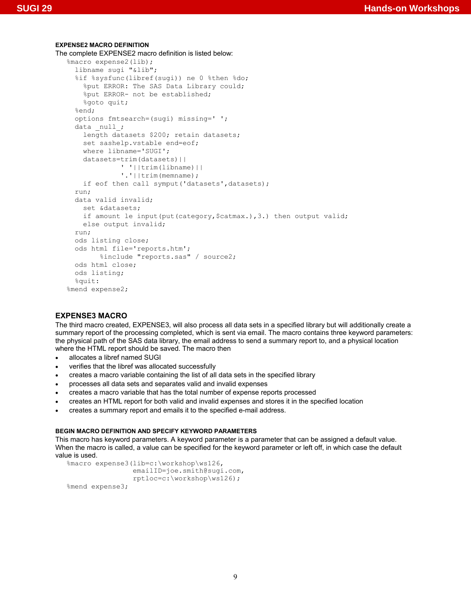### **EXPENSE2 MACRO DEFINITION**  The complete EXPENSE2 macro definition is listed below: %macro expense2(lib); libname sugi "&lib"; %if %sysfunc(libref(sugi)) ne 0 %then %do; %put ERROR: The SAS Data Library could; %put ERROR- not be established; %goto quit; %end; options fmtsearch=(sugi) missing=' '; data \_null\_; length datasets \$200; retain datasets; set sashelp.vstable end=eof; where libname='SUGI'; datasets=trim(datasets)|| ' '||trim(libname)|| '.'||trim(memname); if eof then call symput ('datasets', datasets); run; data valid invalid; set &datasets; if amount le input(put(category, \$catmax.), 3.) then output valid; else output invalid; run; ods listing close; ods html file='reports.htm'; %include "reports.sas" / source2; ods html close; ods listing; %quit: %mend expense2;

# **EXPENSE3 MACRO**

The third macro created, EXPENSE3, will also process all data sets in a specified library but will additionally create a summary report of the processing completed, which is sent via email. The macro contains three keyword parameters: the physical path of the SAS data library, the email address to send a summary report to, and a physical location where the HTML report should be saved. The macro then

- allocates a libref named SUGI
- verifies that the libref was allocated successfully
- creates a macro variable containing the list of all data sets in the specified library
- processes all data sets and separates valid and invalid expenses
- creates a macro variable that has the total number of expense reports processed
- creates an HTML report for both valid and invalid expenses and stores it in the specified location
- creates a summary report and emails it to the specified e-mail address.

### **BEGIN MACRO DEFINITION AND SPECIFY KEYWORD PARAMETERS**

This macro has keyword parameters. A keyword parameter is a parameter that can be assigned a default value. When the macro is called, a value can be specified for the keyword parameter or left off, in which case the default value is used.

```
%macro expense3(lib=c:\workshop\ws126, 
                  emailID=joe.smith@sugi.com, 
                  rptloc=c:\workshop\ws126); 
%mend expense3;
```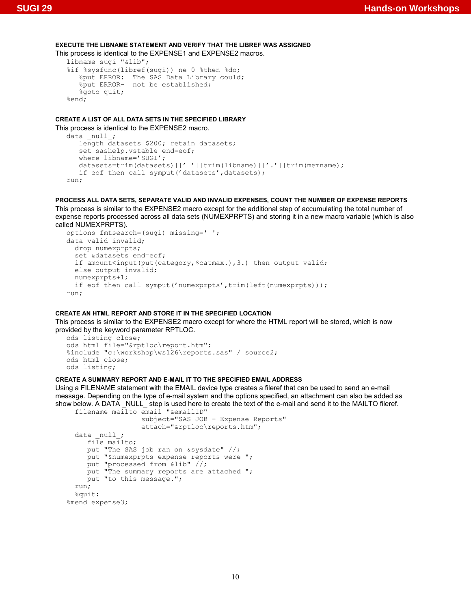### **EXECUTE THE LIBNAME STATEMENT AND VERIFY THAT THE LIBREF WAS ASSIGNED**

This process is identical to the EXPENSE1 and EXPENSE2 macros.

```
libname sugi "&lib"; 
%if %sysfunc(libref(sugi)) ne 0 %then %do; 
 %put ERROR: The SAS Data Library could; 
 %put ERROR- not be established; 
    %goto quit; 
%end;
```
# **CREATE A LIST OF ALL DATA SETS IN THE SPECIFIED LIBRARY**

This process is identical to the EXPENSE2 macro.

```
data null;
    length datasets $200; retain datasets; 
    set sashelp.vstable end=eof; 
   where libname='SUGI';
   datasets=trim(datasets)||''||trim(libname)||'.'||trim(memname);
   if eof then call symput ('datasets', datasets);
run;
```
**PROCESS ALL DATA SETS, SEPARATE VALID AND INVALID EXPENSES, COUNT THE NUMBER OF EXPENSE REPORTS**  This process is similar to the EXPENSE2 macro except for the additional step of accumulating the total number of expense reports processed across all data sets (NUMEXPRPTS) and storing it in a new macro variable (which is also called NUMEXPRPTS).

```
options fmtsearch=(sugi) missing=' '; 
data valid invalid; 
   drop numexprpts; 
   set &datasets end=eof; 
  if amount<input(put(category, $catmax.), 3.) then output valid;
   else output invalid; 
   numexprpts+1; 
  if eof then call symput('numexprpts',trim(left(numexprpts)));
run;
```
# **CREATE AN HTML REPORT AND STORE IT IN THE SPECIFIED LOCATION**

This process is similar to the EXPENSE2 macro except for where the HTML report will be stored, which is now provided by the keyword parameter RPTLOC.

```
ods listing close; 
ods html file="&rptloc\report.htm"; 
%include "c:\workshop\ws126\reports.sas" / source2; 
ods html close; 
ods listing;
```
### **CREATE A SUMMARY REPORT AND E-MAIL IT TO THE SPECIFIED EMAIL ADDRESS**

Using a FILENAME statement with the EMAIL device type creates a fileref that can be used to send an e-mail message. Depending on the type of e-mail system and the options specified, an attachment can also be added as show below. A DATA \_NULL\_ step is used here to create the text of the e-mail and send it to the MAILTO fileref. filename mailto email "&emailID"

```
 subject="SAS JOB – Expense Reports" 
                    attach="&rptloc\reports.htm"; 
  data _null_; 
     file mailto;
      put "The SAS job ran on &sysdate" //; 
     put "&numexprpts expense reports were ";
      put "processed from &lib" //; 
     put "The summary reports are attached ";
      put "to this message."; 
   run; 
   %quit: 
%mend expense3;
```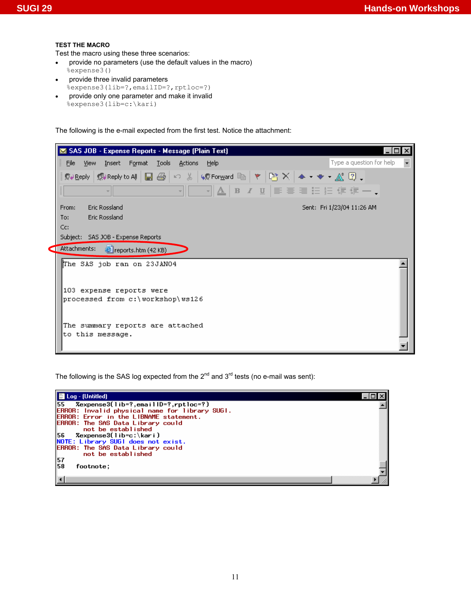#### **TEST THE MACRO**

Test the macro using these three scenarios:

- provide no parameters (use the default values in the macro) %expense3()
- provide three invalid parameters %expense3(lib=?,emailID=?,rptloc=?)
- provide only one parameter and make it invalid %expense3(lib=c:\kari)

The following is the e-mail expected from the first test. Notice the attachment:

| SAS JOB - Expense Reports - Message (Plain Text)              |                                                      |
|---------------------------------------------------------------|------------------------------------------------------|
| File View Insert<br>Format<br><b>Tools</b><br>Actions<br>Help | Type a question for help<br>$\overline{\phantom{a}}$ |
|                                                               |                                                      |
| 제▲│B / U│≣ 事情目記録録ー↓                                           |                                                      |
| <b>Eric Rossland</b><br>From:                                 | Sent: Fri 1/23/04 11:26 AM                           |
| <b>Eric Rossland</b><br>To:                                   |                                                      |
| Cc:                                                           |                                                      |
| Subject: SAS JOB - Expense Reports                            |                                                      |
| Attachments:<br>Preports.htm (42 KB)                          |                                                      |
| The SAS job ran on 23JAN04                                    |                                                      |
|                                                               |                                                      |
| 103 expense reports were                                      |                                                      |
| processed from c:\workshop\ws126                              |                                                      |
|                                                               |                                                      |
|                                                               |                                                      |
| The summary reports are attached<br>to this message.          |                                                      |
|                                                               |                                                      |
|                                                               |                                                      |

The following is the SAS log expected from the  $2^{nd}$  and  $3^{rd}$  tests (no e-mail was sent):

| ▌■ Log - (Untitled)                                                                                    |  |
|--------------------------------------------------------------------------------------------------------|--|
| $ 55$ Zexpense3(lib=?,emaillD=?,rptloc=?)                                                              |  |
| <b>ERROR:</b> Invalid physical name for library SUGI.<br><b>ERROR: Error in the LIBNAME statement.</b> |  |
| <b>ERROR: The SAS Data Library could</b>                                                               |  |
| not be established                                                                                     |  |
| 156<br>Zexpense3(lib=c:\kari)                                                                          |  |
| NOTE: Library SUGI does not exist.                                                                     |  |
| <b>ERROR: The SAS Data Library could</b>                                                               |  |
| not be established                                                                                     |  |
| $\frac{57}{58}$<br>footnote:                                                                           |  |
|                                                                                                        |  |
|                                                                                                        |  |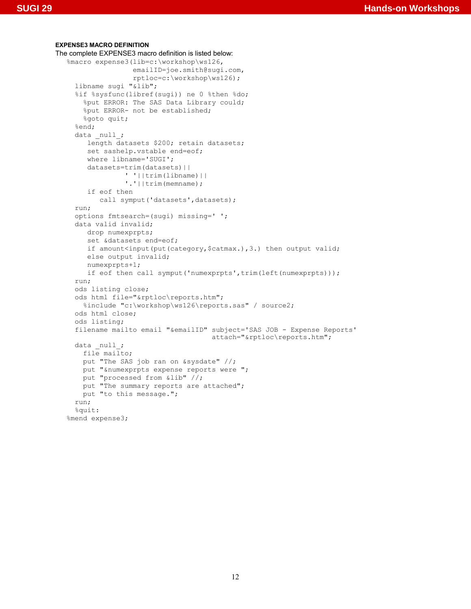#### **EXPENSE3 MACRO DEFINITION**

```
The complete EXPENSE3 macro definition is listed below: 
   %macro expense3(lib=c:\workshop\ws126, 
                     emailID=joe.smith@sugi.com, 
                     rptloc=c:\workshop\ws126); 
      libname sugi "&lib"; 
      %if %sysfunc(libref(sugi)) ne 0 %then %do; 
        %put ERROR: The SAS Data Library could; 
        %put ERROR- not be established; 
       %goto quit;
      %end; 
     data null;
         length datasets $200; retain datasets; 
         set sashelp.vstable end=eof; 
         where libname='SUGI'; 
         datasets=trim(datasets)|| 
                   ' '||trim(libname)|| 
                   '.'||trim(memname); 
         if eof then 
           call symput('datasets', datasets);
      run; 
      options fmtsearch=(sugi) missing=' '; 
      data valid invalid; 
         drop numexprpts; 
         set &datasets end=eof; 
        if amount<input(put(category, $catmax.), 3.) then output valid;
         else output invalid; 
         numexprpts+1; 
        if eof then call symput('numexprpts',trim(left(numexprpts)));
      run; 
      ods listing close; 
      ods html file="&rptloc\reports.htm"; 
        %include "c:\workshop\ws126\reports.sas" / source2; 
      ods html close; 
      ods listing; 
      filename mailto email "&emailID" subject='SAS JOB - Expense Reports' 
                                          attach="&rptloc\reports.htm"; 
     data null;
        file mailto; 
        put "The SAS job ran on &sysdate" //; 
        put "&numexprpts expense reports were "; 
        put "processed from &lib" //; 
       put "The summary reports are attached";
       put "to this message.";
      run; 
      %quit: 
   %mend expense3;
```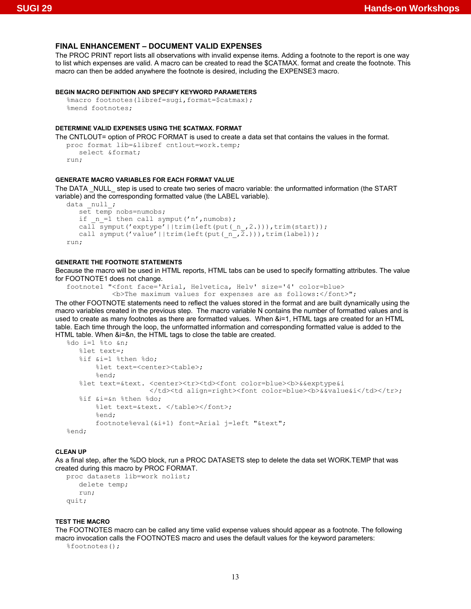### **FINAL ENHANCEMENT – DOCUMENT VALID EXPENSES**

The PROC PRINT report lists all observations with invalid expense items. Adding a footnote to the report is one way to list which expenses are valid. A macro can be created to read the \$CATMAX. format and create the footnote. This macro can then be added anywhere the footnote is desired, including the EXPENSE3 macro.

#### **BEGIN MACRO DEFINITION AND SPECIFY KEYWORD PARAMETERS**

```
%macro footnotes(libref=sugi,format=$catmax);
%mend footnotes;
```
#### **DETERMINE VALID EXPENSES USING THE \$CATMAX. FORMAT**

```
The CNTLOUT= option of PROC FORMAT is used to create a data set that contains the values in the format. 
   proc format lib=&libref cntlout=work.temp; 
       select &format; 
   run\cdot
```
#### **GENERATE MACRO VARIABLES FOR EACH FORMAT VALUE**

The DATA \_NULL\_ step is used to create two series of macro variable: the unformatted information (the START variable) and the corresponding formatted value (the LABEL variable).

```
data null;
   set temp nobs=numobs;<br>if n = 1 then call sv
       n = 1 then call symput('n',numobs);
   call symput('exptype'||trim(left(put(n,2.))),trim(start));
   call symput('value'||trim(left(put(_n, 2.))),trim(label));
run;
```
### **GENERATE THE FOOTNOTE STATEMENTS**

Because the macro will be used in HTML reports, HTML tabs can be used to specify formatting attributes. The value for FOOTNOTE1 does not change.

```
footnote1 "<font face='Arial, Helvetica, Helv' size='4' color=blue> 
            <b>The maximum values for expenses are as follows:</font>";
```
The other FOOTNOTE statements need to reflect the values stored in the format and are built dynamically using the macro variables created in the previous step. The macro variable N contains the number of formatted values and is used to create as many footnotes as there are formatted values. When &i=1, HTML tags are created for an HTML table. Each time through the loop, the unformatted information and corresponding formatted value is added to the HTML table. When &i=&n, the HTML tags to close the table are created.

```
%do i=1 %to &n; 
    %let text=; 
    %if &i=1 %then %do; 
        %let text=<center><table>; 
        %end; 
   %let text=&text. <center><tr>><td><font color=blue><b>&&exptype&i
                     </td><td align=right><font color=blue><b>><&value&i</td></tr>;
    %if &i=&n %then %do; 
       %let text=&text. </table></font>;
        %end; 
        footnote%eval(&i+1) font=Arial j=left "&text"; 
%end;
```
#### **CLEAN UP**

As a final step, after the %DO block, run a PROC DATASETS step to delete the data set WORK.TEMP that was created during this macro by PROC FORMAT.

```
proc datasets lib=work nolist; 
    delete temp; 
    run; 
quit;
```
#### **TEST THE MACRO**

The FOOTNOTES macro can be called any time valid expense values should appear as a footnote. The following macro invocation calls the FOOTNOTES macro and uses the default values for the keyword parameters:

%footnotes();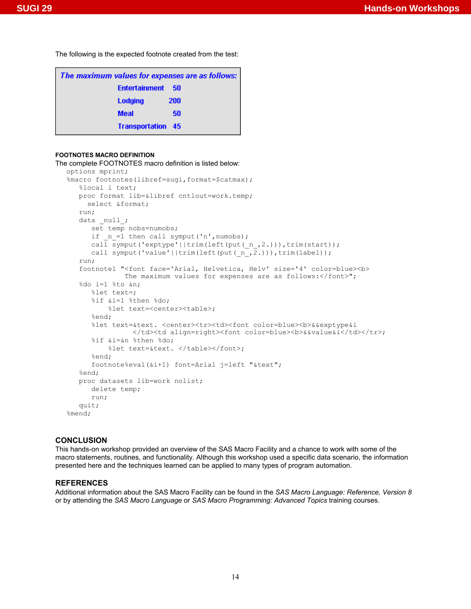The following is the expected footnote created from the test:

| The maximum values for expenses are as follows: |     |  |  |
|-------------------------------------------------|-----|--|--|
| <b>Entertainment</b>                            | -50 |  |  |
| Lodging                                         | 200 |  |  |
| <b>Meal</b>                                     | 50  |  |  |
| <b>Transportation 45</b>                        |     |  |  |

### **FOOTNOTES MACRO DEFINITION**

```
The complete FOOTNOTES macro definition is listed below: 
  options mprint; 
   %macro footnotes(libref=sugi,format=$catmax);
       %local i text; 
       proc format lib=&libref cntlout=work.temp; 
         select &format; 
       run; 
      data null;
          set temp nobs=numobs; 
         if _n_=1 then call symput('n', numobs);
         call symput('exptype'||trim(left(put(_n_,2.))),trim(start));
         call symput('value'||trim(left(put(n,2.))),trim(label));
       run; 
      footnote1 "<font face='Arial, Helvetica, Helv' size='4' color=blue><b>
                 The maximum values for expenses are as follows: </font>";
       %do i=1 %to &n; 
          %let text=; 
          %if &i=1 %then %do; 
              %let text=<center><table>; 
          %end; 
         %let text=&text. <center><tr>><td><font color=blue><b>&&exptype&i
                     </td><td align=right><font color=blue><b>&&value&i</td></tr>; 
          %if &i=&n %then %do; 
             %let text=&text. </table></font>;
          %end; 
          footnote%eval(&i+1) font=Arial j=left "&text"; 
       %end; 
       proc datasets lib=work nolist; 
          delete temp; 
          run; 
       quit; 
   %mend;
```
# **CONCLUSION**

This hands-on workshop provided an overview of the SAS Macro Facility and a chance to work with some of the macro statements, routines, and functionality. Although this workshop used a specific data scenario, the information presented here and the techniques learned can be applied to many types of program automation.

#### **REFERENCES**

Additional information about the SAS Macro Facility can be found in the *SAS Macro Language: Reference, Version 8* or by attending the *SAS Macro Language* or *SAS Macro Programming: Advanced Topics* training courses.